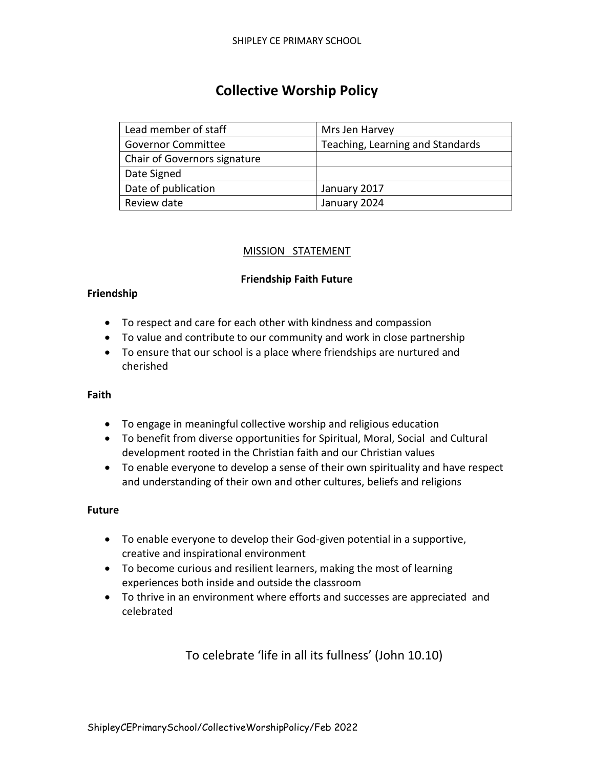# **Collective Worship Policy**

| Lead member of staff         | Mrs Jen Harvey                   |  |  |  |
|------------------------------|----------------------------------|--|--|--|
| <b>Governor Committee</b>    | Teaching, Learning and Standards |  |  |  |
| Chair of Governors signature |                                  |  |  |  |
| Date Signed                  |                                  |  |  |  |
| Date of publication          | January 2017                     |  |  |  |
| Review date                  | January 2024                     |  |  |  |

#### MISSION STATEMENT

#### **Friendship Faith Future**

#### **Friendship**

- To respect and care for each other with kindness and compassion
- To value and contribute to our community and work in close partnership
- To ensure that our school is a place where friendships are nurtured and cherished

#### **Faith**

- To engage in meaningful collective worship and religious education
- To benefit from diverse opportunities for Spiritual, Moral, Social and Cultural development rooted in the Christian faith and our Christian values
- To enable everyone to develop a sense of their own spirituality and have respect and understanding of their own and other cultures, beliefs and religions

#### **Future**

- To enable everyone to develop their God-given potential in a supportive, creative and inspirational environment
- To become curious and resilient learners, making the most of learning experiences both inside and outside the classroom
- To thrive in an environment where efforts and successes are appreciated and celebrated

To celebrate 'life in all its fullness' (John 10.10)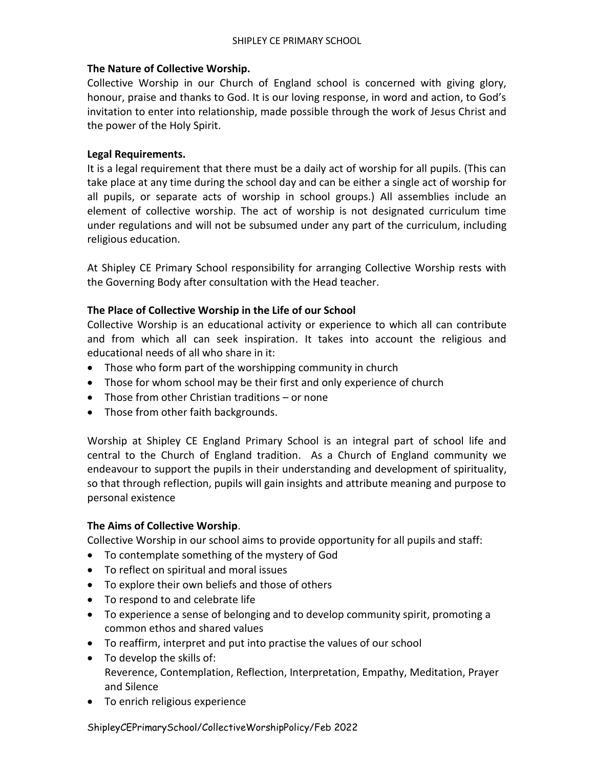#### **The Nature of Collective Worship.**

Collective Worship in our Church of England school is concerned with giving glory, honour, praise and thanks to God. It is our loving response, in word and action, to God's invitation to enter into relationship, made possible through the work of Jesus Christ and the power of the Holy Spirit.

# **Legal Requirements.**

It is a legal requirement that there must be a daily act of worship for all pupils. (This can take place at any time during the school day and can be either a single act of worship for all pupils, or separate acts of worship in school groups.) All assemblies include an element of collective worship. The act of worship is not designated curriculum time under regulations and will not be subsumed under any part of the curriculum, including religious education.

At Shipley CE Primary School responsibility for arranging Collective Worship rests with the Governing Body after consultation with the Head teacher.

# **The Place of Collective Worship in the Life of our School**

Collective Worship is an educational activity or experience to which all can contribute and from which all can seek inspiration. It takes into account the religious and educational needs of all who share in it:

- Those who form part of the worshipping community in church
- Those for whom school may be their first and only experience of church
- Those from other Christian traditions or none
- Those from other faith backgrounds.

Worship at Shipley CE England Primary School is an integral part of school life and central to the Church of England tradition. As a Church of England community we endeavour to support the pupils in their understanding and development of spirituality, so that through reflection, pupils will gain insights and attribute meaning and purpose to personal existence

#### **The Aims of Collective Worship**.

Collective Worship in our school aims to provide opportunity for all pupils and staff:

- To contemplate something of the mystery of God
- To reflect on spiritual and moral issues
- To explore their own beliefs and those of others
- To respond to and celebrate life
- To experience a sense of belonging and to develop community spirit, promoting a common ethos and shared values
- To reaffirm, interpret and put into practise the values of our school
- To develop the skills of: Reverence, Contemplation, Reflection, Interpretation, Empathy, Meditation, Prayer and Silence
- To enrich religious experience

ShipleyCEPrimarySchool/CollectiveWorshipPolicy/Feb 2022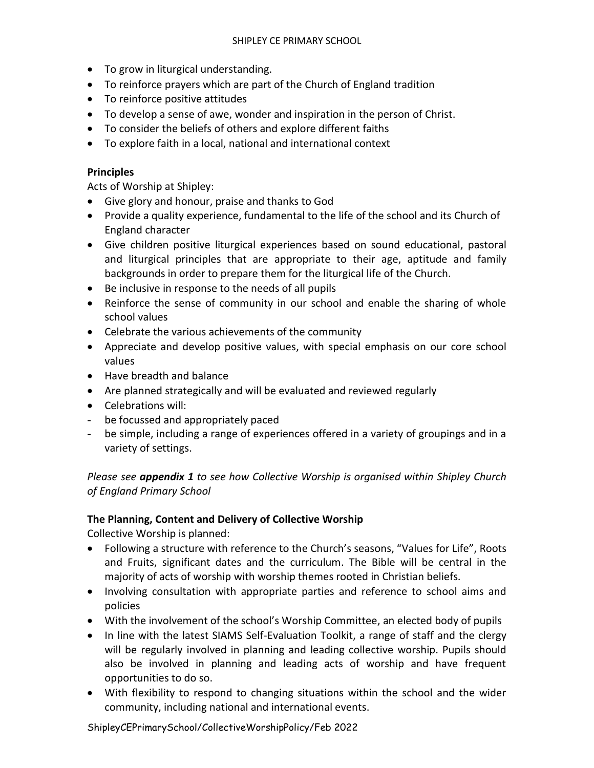- To grow in liturgical understanding.
- To reinforce prayers which are part of the Church of England tradition
- To reinforce positive attitudes
- To develop a sense of awe, wonder and inspiration in the person of Christ.
- To consider the beliefs of others and explore different faiths
- To explore faith in a local, national and international context

# **Principles**

Acts of Worship at Shipley:

- Give glory and honour, praise and thanks to God
- Provide a quality experience, fundamental to the life of the school and its Church of England character
- Give children positive liturgical experiences based on sound educational, pastoral and liturgical principles that are appropriate to their age, aptitude and family backgrounds in order to prepare them for the liturgical life of the Church.
- Be inclusive in response to the needs of all pupils
- Reinforce the sense of community in our school and enable the sharing of whole school values
- Celebrate the various achievements of the community
- Appreciate and develop positive values, with special emphasis on our core school values
- Have breadth and balance
- Are planned strategically and will be evaluated and reviewed regularly
- Celebrations will:
- be focussed and appropriately paced
- be simple, including a range of experiences offered in a variety of groupings and in a variety of settings.

*Please see appendix 1 to see how Collective Worship is organised within Shipley Church of England Primary School*

# **The Planning, Content and Delivery of Collective Worship**

Collective Worship is planned:

- Following a structure with reference to the Church's seasons, "Values for Life", Roots and Fruits, significant dates and the curriculum. The Bible will be central in the majority of acts of worship with worship themes rooted in Christian beliefs.
- Involving consultation with appropriate parties and reference to school aims and policies
- With the involvement of the school's Worship Committee, an elected body of pupils
- In line with the latest SIAMS Self-Evaluation Toolkit, a range of staff and the clergy will be regularly involved in planning and leading collective worship. Pupils should also be involved in planning and leading acts of worship and have frequent opportunities to do so.
- With flexibility to respond to changing situations within the school and the wider community, including national and international events.

ShipleyCEPrimarySchool/CollectiveWorshipPolicy/Feb 2022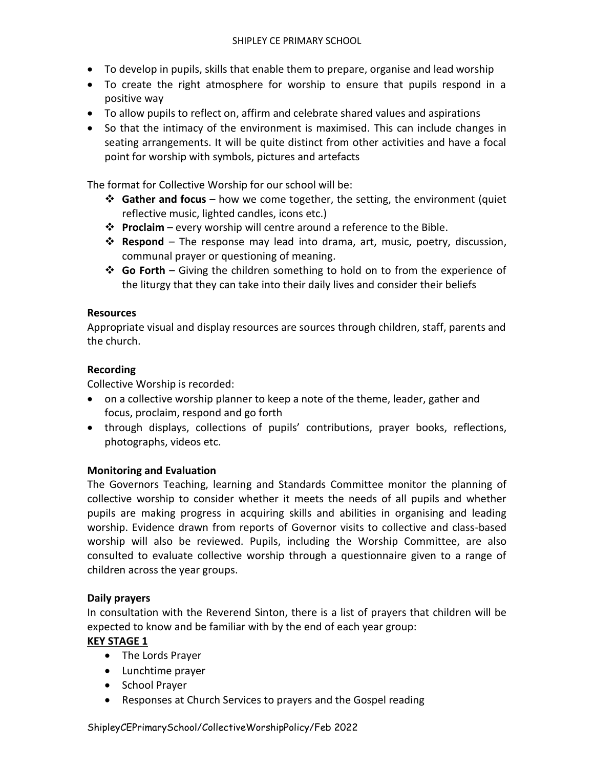- To develop in pupils, skills that enable them to prepare, organise and lead worship
- To create the right atmosphere for worship to ensure that pupils respond in a positive way
- To allow pupils to reflect on, affirm and celebrate shared values and aspirations
- So that the intimacy of the environment is maximised. This can include changes in seating arrangements. It will be quite distinct from other activities and have a focal point for worship with symbols, pictures and artefacts

The format for Collective Worship for our school will be:

- **Gather and focus**  how we come together, the setting, the environment (quiet reflective music, lighted candles, icons etc.)
- **Proclaim**  every worship will centre around a reference to the Bible.
- **Respond**  The response may lead into drama, art, music, poetry, discussion, communal prayer or questioning of meaning.
- **Go Forth**  Giving the children something to hold on to from the experience of the liturgy that they can take into their daily lives and consider their beliefs

# **Resources**

Appropriate visual and display resources are sources through children, staff, parents and the church.

# **Recording**

Collective Worship is recorded:

- on a collective worship planner to keep a note of the theme, leader, gather and focus, proclaim, respond and go forth
- through displays, collections of pupils' contributions, prayer books, reflections, photographs, videos etc.

#### **Monitoring and Evaluation**

The Governors Teaching, learning and Standards Committee monitor the planning of collective worship to consider whether it meets the needs of all pupils and whether pupils are making progress in acquiring skills and abilities in organising and leading worship. Evidence drawn from reports of Governor visits to collective and class-based worship will also be reviewed. Pupils, including the Worship Committee, are also consulted to evaluate collective worship through a questionnaire given to a range of children across the year groups.

#### **Daily prayers**

In consultation with the Reverend Sinton, there is a list of prayers that children will be expected to know and be familiar with by the end of each year group:

# **KEY STAGE 1**

- The Lords Prayer
- Lunchtime prayer
- School Prayer
- Responses at Church Services to prayers and the Gospel reading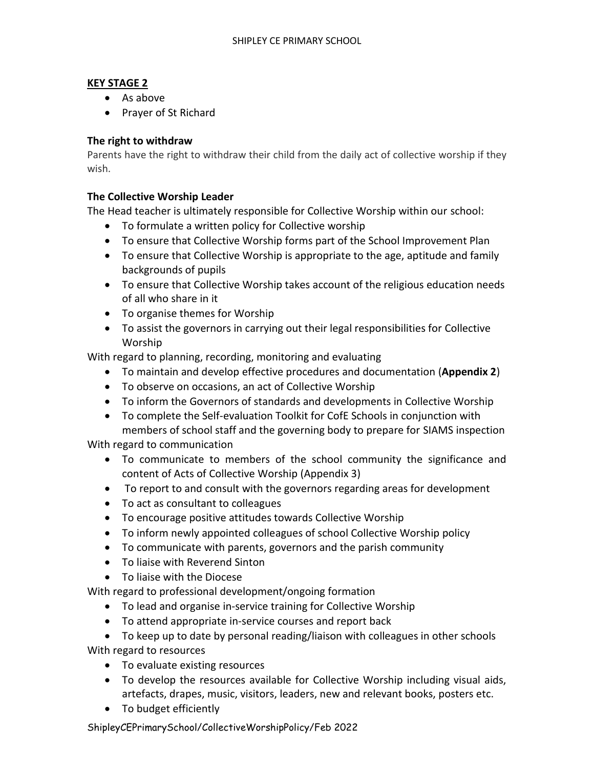# **KEY STAGE 2**

- As above
- Prayer of St Richard

# **The right to withdraw**

Parents have the right to withdraw their child from the daily act of collective worship if they wish.

# **The Collective Worship Leader**

The Head teacher is ultimately responsible for Collective Worship within our school:

- To formulate a written policy for Collective worship
- To ensure that Collective Worship forms part of the School Improvement Plan
- To ensure that Collective Worship is appropriate to the age, aptitude and family backgrounds of pupils
- To ensure that Collective Worship takes account of the religious education needs of all who share in it
- To organise themes for Worship
- To assist the governors in carrying out their legal responsibilities for Collective Worship

With regard to planning, recording, monitoring and evaluating

- To maintain and develop effective procedures and documentation (**Appendix 2**)
- To observe on occasions, an act of Collective Worship
- To inform the Governors of standards and developments in Collective Worship
- To complete the Self-evaluation Toolkit for CofE Schools in conjunction with members of school staff and the governing body to prepare for SIAMS inspection

With regard to communication

- To communicate to members of the school community the significance and content of Acts of Collective Worship (Appendix 3)
- To report to and consult with the governors regarding areas for development
- To act as consultant to colleagues
- To encourage positive attitudes towards Collective Worship
- To inform newly appointed colleagues of school Collective Worship policy
- To communicate with parents, governors and the parish community
- To liaise with Reverend Sinton
- To liaise with the Diocese

With regard to professional development/ongoing formation

- To lead and organise in-service training for Collective Worship
- To attend appropriate in-service courses and report back
- To keep up to date by personal reading/liaison with colleagues in other schools With regard to resources
	- To evaluate existing resources
	- To develop the resources available for Collective Worship including visual aids, artefacts, drapes, music, visitors, leaders, new and relevant books, posters etc.
	- To budget efficiently

ShipleyCEPrimarySchool/CollectiveWorshipPolicy/Feb 2022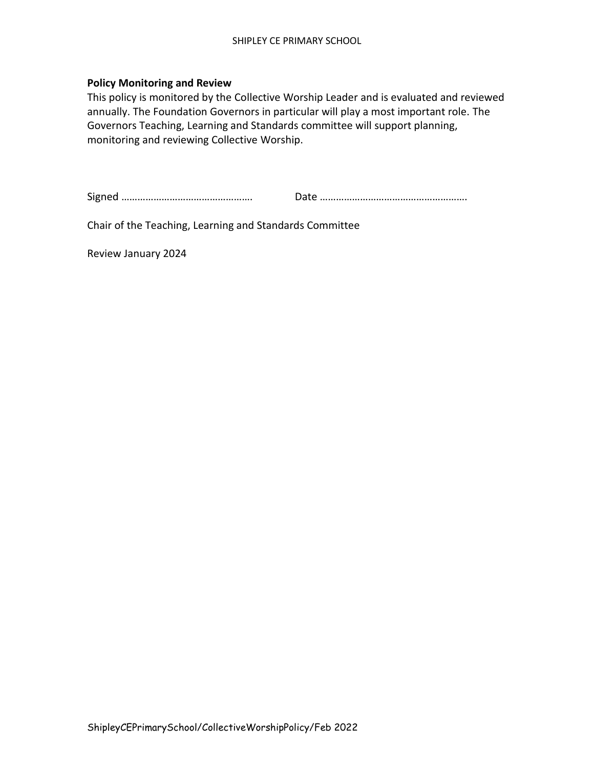#### **Policy Monitoring and Review**

This policy is monitored by the Collective Worship Leader and is evaluated and reviewed annually. The Foundation Governors in particular will play a most important role. The Governors Teaching, Learning and Standards committee will support planning, monitoring and reviewing Collective Worship.

Signed …………………………………………. Date ……………………………………………….

Chair of the Teaching, Learning and Standards Committee

Review January 2024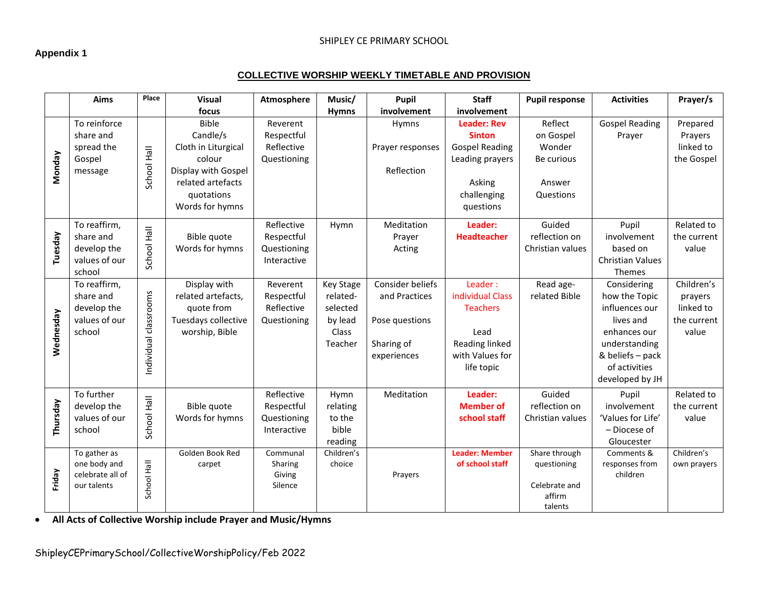# **Appendix 1**

#### SHIPLEY CE PRIMARY SCHOOL

#### **COLLECTIVE WORSHIP WEEKLY TIMETABLE AND PROVISION**

|           | Aims                         | Place                 | <b>Visual</b>       | Atmosphere                 | Music/             | Pupil            | <b>Staff</b>                | <b>Pupil response</b>   | <b>Activities</b>             | Prayer/s                  |
|-----------|------------------------------|-----------------------|---------------------|----------------------------|--------------------|------------------|-----------------------------|-------------------------|-------------------------------|---------------------------|
|           |                              |                       | focus               |                            | <b>Hymns</b>       | involvement      | involvement                 |                         |                               |                           |
|           | To reinforce                 |                       | <b>Bible</b>        | Reverent                   |                    | Hymns            | <b>Leader: Rev</b>          | Reflect                 | <b>Gospel Reading</b>         | Prepared                  |
|           | share and                    |                       | Candle/s            | Respectful                 |                    |                  | <b>Sinton</b>               | on Gospel               | Prayer                        | Prayers                   |
|           | spread the                   |                       | Cloth in Liturgical | Reflective                 |                    | Prayer responses | <b>Gospel Reading</b>       | Wonder                  |                               | linked to                 |
| Monday    | Gospel                       |                       | colour              | Questioning                |                    |                  | Leading prayers             | Be curious              |                               | the Gospel                |
|           | message                      | School Hall           | Display with Gospel |                            |                    | Reflection       |                             |                         |                               |                           |
|           |                              |                       | related artefacts   |                            |                    |                  | Asking                      | Answer                  |                               |                           |
|           |                              |                       | quotations          |                            |                    |                  | challenging                 | Questions               |                               |                           |
|           |                              |                       | Words for hymns     |                            |                    |                  | questions                   |                         |                               |                           |
|           | To reaffirm,                 |                       |                     | Reflective                 | Hymn               | Meditation       | Leader:                     | Guided                  | Pupil                         | Related to                |
| Tuesday   | share and                    | School Hall           | Bible quote         | Respectful                 |                    | Prayer           | <b>Headteacher</b>          | reflection on           | involvement                   | the current               |
|           | develop the                  |                       | Words for hymns     | Questioning                |                    | Acting           |                             | Christian values        | based on                      | value                     |
|           | values of our                |                       |                     | Interactive                |                    |                  |                             |                         | <b>Christian Values</b>       |                           |
|           | school                       |                       |                     |                            |                    |                  |                             |                         | Themes                        |                           |
|           | To reaffirm,                 |                       | Display with        | Reverent                   | <b>Key Stage</b>   | Consider beliefs | Leader:                     | Read age-               | Considering                   | Children's                |
|           | share and                    |                       | related artefacts,  | Respectful                 | related-           | and Practices    | individual Class            | related Bible           | how the Topic                 | prayers                   |
|           | develop the                  |                       | quote from          | Reflective                 | selected           |                  | <b>Teachers</b>             |                         | influences our                | linked to                 |
|           | values of our                |                       | Tuesdays collective | Questioning                | by lead            | Pose questions   |                             |                         | lives and                     | the current               |
| Wednesday | school                       | Individual classrooms | worship, Bible      |                            | Class<br>Teacher   | Sharing of       | Lead<br>Reading linked      |                         | enhances our<br>understanding | value                     |
|           |                              |                       |                     |                            |                    | experiences      | with Values for             |                         | & beliefs - pack              |                           |
|           |                              |                       |                     |                            |                    |                  | life topic                  |                         | of activities                 |                           |
|           |                              |                       |                     |                            |                    |                  |                             |                         | developed by JH               |                           |
|           |                              |                       |                     |                            |                    |                  |                             |                         |                               |                           |
|           | To further                   |                       |                     | Reflective                 | Hymn               | Meditation       | Leader:<br><b>Member of</b> | Guided<br>reflection on | Pupil<br>involvement          | Related to<br>the current |
|           | develop the<br>values of our |                       | Bible quote         | Respectful                 | relating<br>to the |                  | school staff                | Christian values        | 'Values for Life'             |                           |
| Thursday  | school                       | School Hall           | Words for hymns     | Questioning<br>Interactive | bible              |                  |                             |                         | - Diocese of                  | value                     |
|           |                              |                       |                     |                            | reading            |                  |                             |                         | Gloucester                    |                           |
|           | To gather as                 |                       | Golden Book Red     | Communal                   | Children's         |                  | <b>Leader: Member</b>       | Share through           | Comments &                    | Children's                |
|           | one body and                 |                       | carpet              | Sharing                    | choice             |                  | of school staff             | questioning             | responses from                | own prayers               |
| Friday    | celebrate all of             |                       |                     | Giving                     |                    | Prayers          |                             |                         | children                      |                           |
|           | our talents                  | School Hall           |                     | Silence                    |                    |                  |                             | Celebrate and           |                               |                           |
|           |                              |                       |                     |                            |                    |                  |                             | affirm                  |                               |                           |
|           |                              |                       |                     |                            |                    |                  |                             | talents                 |                               |                           |

**All Acts of Collective Worship include Prayer and Music/Hymns**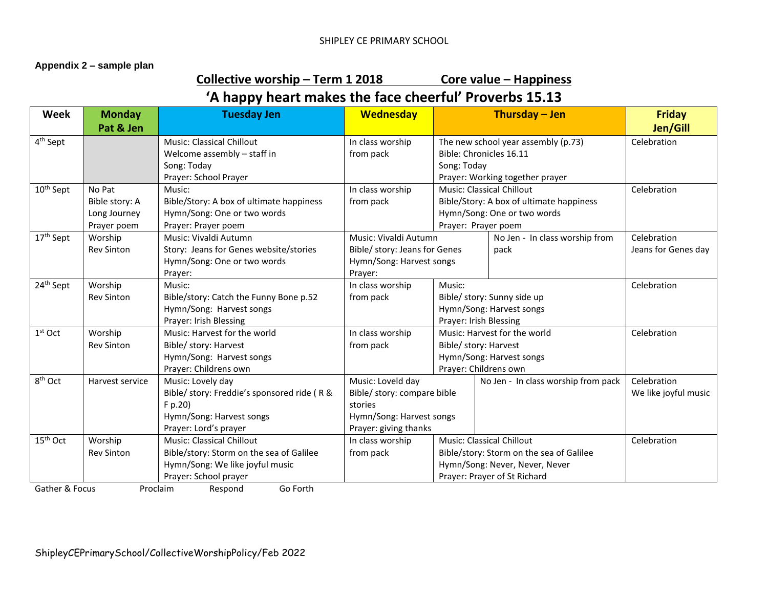#### **Appendix 2 – sample plan**

# **Collective worship – Term 1 2018 Core value – Happiness**

# **'A happy heart makes the face cheerful' Proverbs 15.13**

| <b>Week</b>           | <b>Monday</b>     | <b>Tuesday Jen</b>                          | <b>Wednesday</b>                                      |                                                                                                | Thursday - Jen                           | <b>Friday</b>        |
|-----------------------|-------------------|---------------------------------------------|-------------------------------------------------------|------------------------------------------------------------------------------------------------|------------------------------------------|----------------------|
|                       | Pat & Jen         |                                             |                                                       |                                                                                                |                                          | Jen/Gill             |
| 4 <sup>th</sup> Sept  |                   | Music: Classical Chillout                   | In class worship                                      | The new school year assembly (p.73)                                                            |                                          | Celebration          |
|                       |                   | Welcome assembly - staff in                 | from pack                                             |                                                                                                | Bible: Chronicles 16.11                  |                      |
|                       |                   | Song: Today                                 |                                                       | Song: Today                                                                                    |                                          |                      |
|                       |                   | Prayer: School Prayer                       |                                                       |                                                                                                | Prayer: Working together prayer          |                      |
| 10 <sup>th</sup> Sept | No Pat            | Music:                                      | In class worship                                      |                                                                                                | Music: Classical Chillout                | Celebration          |
|                       | Bible story: A    | Bible/Story: A box of ultimate happiness    | from pack                                             |                                                                                                | Bible/Story: A box of ultimate happiness |                      |
|                       | Long Journey      | Hymn/Song: One or two words                 |                                                       |                                                                                                | Hymn/Song: One or two words              |                      |
|                       | Prayer poem       | Prayer: Prayer poem                         |                                                       | Prayer: Prayer poem                                                                            |                                          |                      |
| 17 <sup>th</sup> Sept | Worship           | Music: Vivaldi Autumn                       | Music: Vivaldi Autumn                                 |                                                                                                | No Jen - In class worship from           | Celebration          |
|                       | <b>Rev Sinton</b> | Story: Jeans for Genes website/stories      | Bible/ story: Jeans for Genes                         |                                                                                                | pack                                     | Jeans for Genes day  |
|                       |                   | Hymn/Song: One or two words                 | Hymn/Song: Harvest songs                              |                                                                                                |                                          |                      |
|                       |                   | Prayer:                                     | Prayer:                                               |                                                                                                |                                          |                      |
| 24 <sup>th</sup> Sept | Worship           | Music:                                      | In class worship                                      | Music:<br>Bible/ story: Sunny side up<br>Hymn/Song: Harvest songs                              |                                          | Celebration          |
|                       | <b>Rev Sinton</b> | Bible/story: Catch the Funny Bone p.52      | from pack                                             |                                                                                                |                                          |                      |
|                       |                   | Hymn/Song: Harvest songs                    |                                                       |                                                                                                |                                          |                      |
|                       |                   | Prayer: Irish Blessing                      |                                                       | Prayer: Irish Blessing                                                                         |                                          |                      |
| $1st$ Oct             | Worship           | Music: Harvest for the world                | In class worship                                      | Music: Harvest for the world                                                                   |                                          | Celebration          |
|                       | <b>Rev Sinton</b> | Bible/ story: Harvest                       | from pack                                             | Bible/ story: Harvest                                                                          |                                          |                      |
|                       |                   | Hymn/Song: Harvest songs                    |                                                       | Hymn/Song: Harvest songs                                                                       |                                          |                      |
|                       |                   | Prayer: Childrens own                       |                                                       |                                                                                                | Prayer: Childrens own                    |                      |
| 8 <sup>th</sup> Oct   | Harvest service   | Music: Lovely day                           | Music: Loveld day                                     | No Jen - In class worship from pack<br>Bible/ story: compare bible<br>Hymn/Song: Harvest songs |                                          | Celebration          |
|                       |                   | Bible/ story: Freddie's sponsored ride (R & |                                                       |                                                                                                |                                          | We like joyful music |
|                       |                   | F p.20)                                     | stories                                               |                                                                                                |                                          |                      |
|                       |                   | Hymn/Song: Harvest songs                    |                                                       |                                                                                                |                                          |                      |
|                       |                   | Prayer: Lord's prayer                       | Prayer: giving thanks                                 |                                                                                                |                                          |                      |
| 15 <sup>th</sup> Oct  | Worship           | <b>Music: Classical Chillout</b>            | In class worship                                      |                                                                                                | <b>Music: Classical Chillout</b>         | Celebration          |
|                       | <b>Rev Sinton</b> | Bible/story: Storm on the sea of Galilee    | from pack<br>Bible/story: Storm on the sea of Galilee |                                                                                                |                                          |                      |
|                       |                   | Hymn/Song: We like joyful music             |                                                       | Hymn/Song: Never, Never, Never                                                                 |                                          |                      |
|                       |                   | Prayer: School prayer                       | Prayer: Prayer of St Richard                          |                                                                                                |                                          |                      |
| Gather & Focus        |                   | Proclaim<br>Go Forth<br>Respond             |                                                       |                                                                                                |                                          |                      |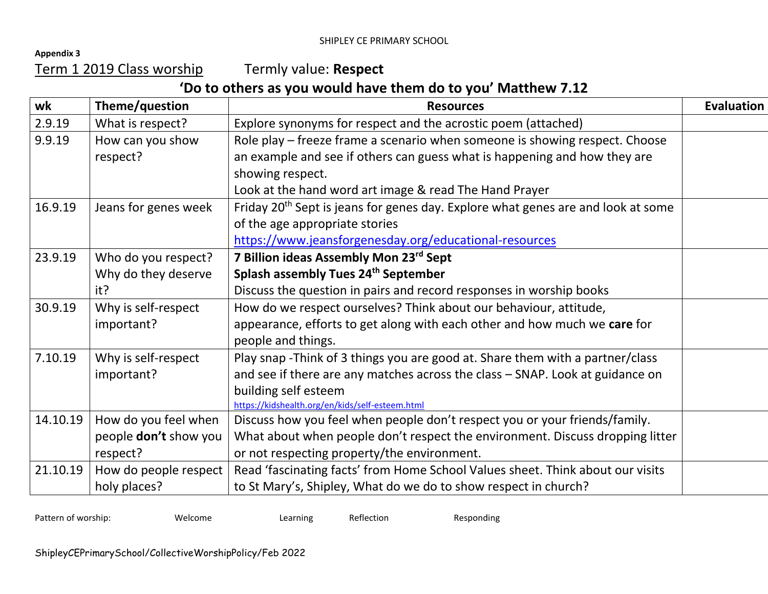**Appendix 3** 

Term 1 2019 Class worship Termly value: **Respect**

# **'Do to others as you would have them do to you' Matthew 7.12**

| wk       | Theme/question        | <b>Resources</b>                                                                             | <b>Evaluation</b> |
|----------|-----------------------|----------------------------------------------------------------------------------------------|-------------------|
| 2.9.19   | What is respect?      | Explore synonyms for respect and the acrostic poem (attached)                                |                   |
| 9.9.19   | How can you show      | Role play - freeze frame a scenario when someone is showing respect. Choose                  |                   |
|          | respect?              | an example and see if others can guess what is happening and how they are                    |                   |
|          |                       | showing respect.                                                                             |                   |
|          |                       | Look at the hand word art image & read The Hand Prayer                                       |                   |
| 16.9.19  | Jeans for genes week  | Friday 20 <sup>th</sup> Sept is jeans for genes day. Explore what genes are and look at some |                   |
|          |                       | of the age appropriate stories                                                               |                   |
|          |                       | https://www.jeansforgenesday.org/educational-resources                                       |                   |
| 23.9.19  | Who do you respect?   | 7 Billion ideas Assembly Mon 23rd Sept                                                       |                   |
|          | Why do they deserve   | Splash assembly Tues 24th September                                                          |                   |
|          | it?                   | Discuss the question in pairs and record responses in worship books                          |                   |
| 30.9.19  | Why is self-respect   | How do we respect ourselves? Think about our behaviour, attitude,                            |                   |
|          | important?            | appearance, efforts to get along with each other and how much we care for                    |                   |
|          |                       | people and things.                                                                           |                   |
| 7.10.19  | Why is self-respect   | Play snap -Think of 3 things you are good at. Share them with a partner/class                |                   |
|          | important?            | and see if there are any matches across the class - SNAP. Look at guidance on                |                   |
|          |                       | building self esteem                                                                         |                   |
|          |                       | https://kidshealth.org/en/kids/self-esteem.html                                              |                   |
| 14.10.19 | How do you feel when  | Discuss how you feel when people don't respect you or your friends/family.                   |                   |
|          | people don't show you | What about when people don't respect the environment. Discuss dropping litter                |                   |
|          | respect?              | or not respecting property/the environment.                                                  |                   |
| 21.10.19 | How do people respect | Read 'fascinating facts' from Home School Values sheet. Think about our visits               |                   |
|          | holy places?          | to St Mary's, Shipley, What do we do to show respect in church?                              |                   |

Pattern of worship: Welcome Learning Reflection Responding Responding